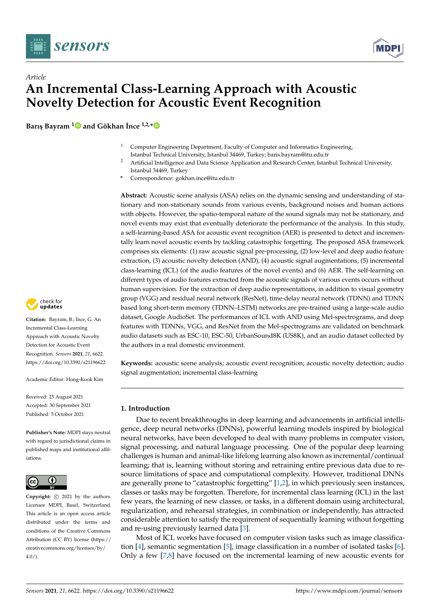



# *Article* **An Incremental Class-Learning Approach with Acoustic Novelty Detection for Acoustic Event Recognition**

**Barı¸s Bayram [1](https://orcid.org/0000-0002-5588-577X) and Gökhan ˙Ince 1,2,[\\*](https://orcid.org/0000-0002-0034-030X)**

- <sup>1</sup> Computer Engineering Department, Faculty of Computer and Informatics Engineering, Istanbul Technical University, Istanbul 34469, Turkey; baris.bayram@itu.edu.tr
- <sup>2</sup> Artificial Intelligence and Data Science Application and Research Center, Istanbul Technical University, Istanbul 34469, Turkey
- **\*** Correspondence: gokhan.ince@itu.edu.tr

**Abstract:** Acoustic scene analysis (ASA) relies on the dynamic sensing and understanding of stationary and non-stationary sounds from various events, background noises and human actions with objects. However, the spatio-temporal nature of the sound signals may not be stationary, and novel events may exist that eventually deteriorate the performance of the analysis. In this study, a self-learning-based ASA for acoustic event recognition (AER) is presented to detect and incrementally learn novel acoustic events by tackling catastrophic forgetting. The proposed ASA framework comprises six elements: (1) raw acoustic signal pre-processing, (2) low-level and deep audio feature extraction, (3) acoustic novelty detection (AND), (4) acoustic signal augmentations, (5) incremental class-learning (ICL) (of the audio features of the novel events) and (6) AER. The self-learning on different types of audio features extracted from the acoustic signals of various events occurs without human supervision. For the extraction of deep audio representations, in addition to visual geometry group (VGG) and residual neural network (ResNet), time-delay neural network (TDNN) and TDNN based long short-term memory (TDNN–LSTM) networks are pre-trained using a large-scale audio dataset, Google AudioSet. The performances of ICL with AND using Mel-spectrograms, and deep features with TDNNs, VGG, and ResNet from the Mel-spectrograms are validated on benchmark audio datasets such as ESC-10, ESC-50, UrbanSound8K (US8K), and an audio dataset collected by the authors in a real domestic environment.

**Keywords:** acoustic scene analysis; acoustic event recognition; acoustic novelty detection; audio signal augmentation; incremental class-learning

# **1. Introduction**

Due to recent breakthroughs in deep learning and advancements in artificial intelligence, deep neural networks (DNNs), powerful learning models inspired by biological neural networks, have been developed to deal with many problems in computer vision, signal processing, and natural language processing. One of the popular deep learning challenges is human and animal-like lifelong learning also known as incremental/continual learning; that is, learning without storing and retraining entire previous data due to resource limitations of space and computational complexity. However, traditional DNNs are generally prone to "catastrophic forgetting" [\[1,](#page-14-0)[2\]](#page-14-1), in which previously seen instances, classes or tasks may be forgotten. Therefore, for incremental class learning (ICL) in the last few years, the learning of new classes, or tasks, in a different domain using architectural, regularization, and rehearsal strategies, in combination or independently, has attracted considerable attention to satisfy the requirement of sequentially learning without forgetting and re-using previously learned data [\[3\]](#page-14-2).

Most of ICL works have focused on computer vision tasks such as image classification [\[4\]](#page-14-3), semantic segmentation [\[5\]](#page-14-4), image classification in a number of isolated tasks [\[6\]](#page-14-5). Only a few [\[7,](#page-14-6)[8\]](#page-14-7) have focused on the incremental learning of new acoustic events for



**Citation:** Bayram, B.; ˙Ince, G. An Incremental Class-Learning Approach with Acoustic Novelty Detection for Acoustic Event Recognition. *Sensors* **2021**, *21*, 6622. <https://doi.org/10.3390/s21196622>

Academic Editor: Hong-Kook Kim

Received: 25 August 2021 Accepted: 30 September 2021 Published: 5 October 2021

**Publisher's Note:** MDPI stays neutral with regard to jurisdictional claims in published maps and institutional affiliations.



**Copyright:**  $\odot$  2021 by the authors. Licensee MDPI, Basel, Switzerland. This article is an open access article distributed under the terms and conditions of the Creative Commons Attribution (CC BY) license (https:/[/](https://creativecommons.org/licenses/by/4.0/) [creativecommons.org/licenses/by/](https://creativecommons.org/licenses/by/4.0/)  $4.0/$ ).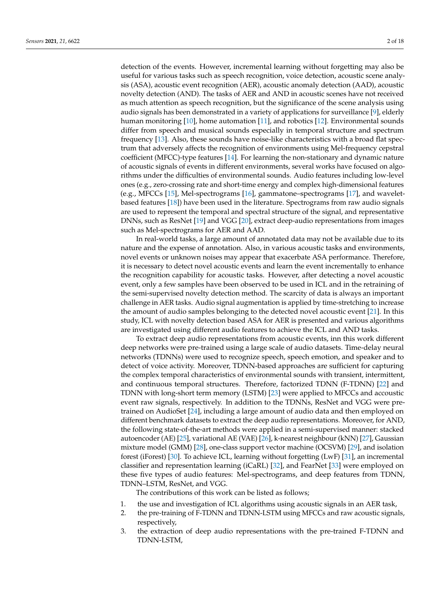detection of the events. However, incremental learning without forgetting may also be useful for various tasks such as speech recognition, voice detection, acoustic scene analysis (ASA), acoustic event recognition (AER), acoustic anomaly detection (AAD), acoustic novelty detection (AND). The tasks of AER and AND in acoustic scenes have not received as much attention as speech recognition, but the significance of the scene analysis using audio signals has been demonstrated in a variety of applications for surveillance [\[9\]](#page-14-8), elderly human monitoring [\[10\]](#page-15-0), home automation [\[11\]](#page-15-1), and robotics [\[12\]](#page-15-2). Environmental sounds differ from speech and musical sounds especially in temporal structure and spectrum frequency [\[13\]](#page-15-3). Also, these sounds have noise-like characteristics with a broad flat spectrum that adversely affects the recognition of environments using Mel-frequency cepstral coefficient (MFCC)-type features [\[14\]](#page-15-4). For learning the non-stationary and dynamic nature of acoustic signals of events in different environments, several works have focused on algorithms under the difficulties of environmental sounds. Audio features including low-level ones (e.g., zero-crossing rate and short-time energy and complex high-dimensional features (e.g., MFCCs [\[15\]](#page-15-5), Mel-spectrograms [\[16\]](#page-15-6), gammatone–spectrograms [\[17\]](#page-15-7), and waveletbased features [\[18\]](#page-15-8)) have been used in the literature. Spectrograms from raw audio signals are used to represent the temporal and spectral structure of the signal, and representative DNNs, such as ResNet [\[19\]](#page-15-9) and VGG [\[20\]](#page-15-10), extract deep-audio representations from images such as Mel-spectrograms for AER and AAD.

In real-world tasks, a large amount of annotated data may not be available due to its nature and the expense of annotation. Also, in various acoustic tasks and environments, novel events or unknown noises may appear that exacerbate ASA performance. Therefore, it is necessary to detect novel acoustic events and learn the event incrementally to enhance the recognition capability for acoustic tasks. However, after detecting a novel acoustic event, only a few samples have been observed to be used in ICL and in the retraining of the semi-supervised novelty detection method. The scarcity of data is always an important challenge in AER tasks. Audio signal augmentation is applied by time-stretching to increase the amount of audio samples belonging to the detected novel acoustic event [\[21\]](#page-15-11). In this study, ICL with novelty detection based ASA for AER is presented and various algorithms are investigated using different audio features to achieve the ICL and AND tasks.

To extract deep audio representations from acoustic events, inn this work different deep networks were pre-trained using a large scale of audio datasets. Time-delay neural networks (TDNNs) were used to recognize speech, speech emotion, and speaker and to detect of voice activity. Moreover, TDNN-based approaches are sufficient for capturing the complex temporal characteristics of environmental sounds with transient, intermittent, and continuous temporal structures. Therefore, factorized TDNN (F-TDNN) [\[22\]](#page-15-12) and TDNN with long-short term memory (LSTM) [\[23\]](#page-15-13) were applied to MFCCs and accoustic event raw signals, respectively. In addition to the TDNNs, ResNet and VGG were pretrained on AudioSet [\[24\]](#page-15-14), including a large amount of audio data and then employed on different benchmark datasets to extract the deep audio representations. Moreover, for AND, the following state-of-the-art methods were applied in a semi-supervised manner: stacked autoencoder (AE) [\[25\]](#page-15-15), variational AE (VAE) [\[26\]](#page-15-16), k-nearest neighbour (kNN) [\[27\]](#page-15-17), Gaussian mixture model (GMM) [\[28\]](#page-15-18), one-class support vector machine (OCSVM) [\[29\]](#page-15-19), and isolation forest (iForest) [\[30\]](#page-15-20). To achieve ICL, learning without forgetting (LwF) [\[31\]](#page-15-21), an incremental classifier and representation learning (iCaRL) [\[32\]](#page-15-22), and FearNet [\[33\]](#page-15-23) were employed on these five types of audio features: Mel-spectrograms, and deep features from TDNN, TDNN–LSTM, ResNet, and VGG.

The contributions of this work can be listed as follows;

- 1. the use and investigation of ICL algorithms using acoustic signals in an AER task,
- 2. the pre-training of F-TDNN and TDNN-LSTM using MFCCs and raw acoustic signals, respectively,
- 3. the extraction of deep audio representations with the pre-trained F-TDNN and TDNN-LSTM,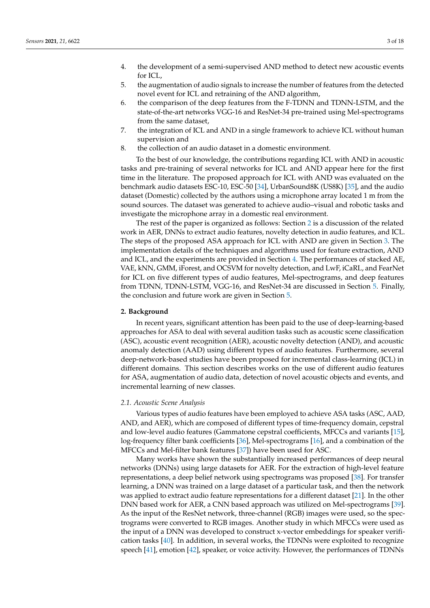- 4. the development of a semi-supervised AND method to detect new acoustic events for ICL,
- 5. the augmentation of audio signals to increase the number of features from the detected novel event for ICL and retraining of the AND algorithm,
- 6. the comparison of the deep features from the F-TDNN and TDNN-LSTM, and the state-of-the-art networks VGG-16 and ResNet-34 pre-trained using Mel-spectrograms from the same dataset,
- 7. the integration of ICL and AND in a single framework to achieve ICL without human supervision and
- 8. the collection of an audio dataset in a domestic environment.

To the best of our knowledge, the contributions regarding ICL with AND in acoustic tasks and pre-training of several networks for ICL and AND appear here for the first time in the literature. The proposed approach for ICL with AND was evaluated on the benchmark audio datasets ESC-10, ESC-50 [\[34\]](#page-15-24), UrbanSound8K (US8K) [\[35\]](#page-15-25), and the audio dataset (Domestic) collected by the authors using a microphone array located 1 m from the sound sources. The dataset was generated to achieve audio–visual and robotic tasks and investigate the microphone array in a domestic real environment.

The rest of the paper is organized as follows: Section [2](#page-2-0) is a discussion of the related work in AER, DNNs to extract audio features, novelty detection in audio features, and ICL. The steps of the proposed ASA approach for ICL with AND are given in Section [3.](#page-4-0) The implementation details of the techniques and algorithms used for feature extraction, AND and ICL, and the experiments are provided in Section [4.](#page-7-0) The performances of stacked AE, VAE, kNN, GMM, iForest, and OCSVM for novelty detection, and LwF, iCaRL, and FearNet for ICL on five different types of audio features, Mel-spectrograms, and deep features from TDNN, TDNN-LSTM, VGG-16, and ResNet-34 are discussed in Section [5.](#page-13-0) Finally, the conclusion and future work are given in Section [5.](#page-13-0)

# <span id="page-2-0"></span>**2. Background**

In recent years, significant attention has been paid to the use of deep-learning-based approaches for ASA to deal with several audition tasks such as acoustic scene classification (ASC), acoustic event recognition (AER), acoustic novelty detection (AND), and acoustic anomaly detection (AAD) using different types of audio features. Furthermore, several deep-network-based studies have been proposed for incremental class-learning (ICL) in different domains. This section describes works on the use of different audio features for ASA, augmentation of audio data, detection of novel acoustic objects and events, and incremental learning of new classes.

## *2.1. Acoustic Scene Analysis*

Various types of audio features have been employed to achieve ASA tasks (ASC, AAD, AND, and AER), which are composed of different types of time-frequency domain, cepstral and low-level audio features (Gammatone cepstral coefficients, MFCCs and variants [\[15\]](#page-15-5), log-frequency filter bank coefficients [\[36\]](#page-15-26), Mel-spectrograms [\[16\]](#page-15-6), and a combination of the MFCCs and Mel-filter bank features [\[37\]](#page-16-0)) have been used for ASC.

Many works have shown the substantially increased performances of deep neural networks (DNNs) using large datasets for AER. For the extraction of high-level feature representations, a deep belief network using spectrograms was proposed [\[38\]](#page-16-1). For transfer learning, a DNN was trained on a large dataset of a particular task, and then the network was applied to extract audio feature representations for a different dataset [\[21\]](#page-15-11). In the other DNN based work for AER, a CNN based approach was utilized on Mel-spectrograms [\[39\]](#page-16-2). As the input of the ResNet network, three-channel (RGB) images were used, so the spectrograms were converted to RGB images. Another study in which MFCCs were used as the input of a DNN was developed to construct x-vector embeddings for speaker verification tasks [\[40\]](#page-16-3). In addition, in several works, the TDNNs were exploited to recognize speech [\[41\]](#page-16-4), emotion [\[42\]](#page-16-5), speaker, or voice activity. However, the performances of TDNNs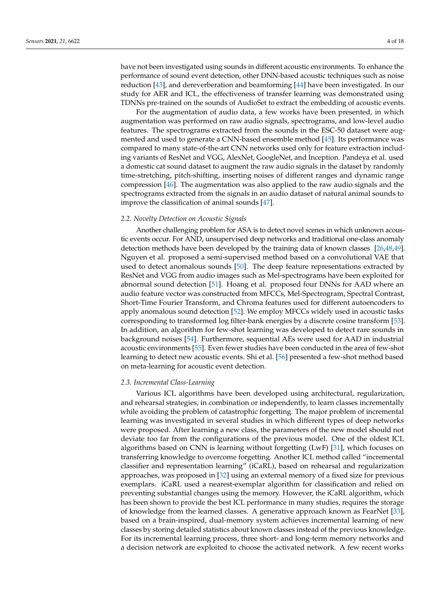have not been investigated using sounds in different acoustic environments. To enhance the performance of sound event detection, other DNN-based acoustic techniques such as noise reduction [\[43\]](#page-16-6), and dereverberation and beamforming [\[44\]](#page-16-7) have been investigated. In our study for AER and ICL, the effectiveness of transfer learning was demonstrated using TDNNs pre-trained on the sounds of AudioSet to extract the embedding of acoustic events.

For the augmentation of audio data, a few works have been presented, in which augmentation was performed on raw audio signals, spectrograms, and low-level audio features. The spectrograms extracted from the sounds in the ESC-50 dataset were augmented and used to generate a CNN-based ensemble method [\[45\]](#page-16-8). Its performance was compared to many state-of-the-art CNN networks used only for feature extraction including variants of ResNet and VGG, AlexNet, GoogleNet, and Inception. Pandeya et al. used a domestic cat sound dataset to augment the raw audio signals in the dataset by randomly time-stretching, pitch-shifting, inserting noises of different ranges and dynamic range compression [\[46\]](#page-16-9). The augmentation was also applied to the raw audio signals and the spectrograms extracted from the signals in an audio dataset of natural animal sounds to improve the classification of animal sounds [\[47\]](#page-16-10).

## *2.2. Novelty Detection on Acoustic Signals*

Another challenging problem for ASA is to detect novel scenes in which unknown acoustic events occur. For AND, unsupervised deep networks and traditional one-class anomaly detection methods have been developed by the training data of known classes [\[26,](#page-15-16)[48,](#page-16-11)[49\]](#page-16-12). Nguyen et al. proposed a semi-supervised method based on a convolutional VAE that used to detect anomalous sounds [\[50\]](#page-16-13). The deep feature representations extracted by ResNet and VGG from audio images such as Mel-spectrograms have been exploited for abnormal sound detection [\[51\]](#page-16-14). Hoang et al. proposed four DNNs for AAD where an audio feature vector was constructed from MFCCs, Mel-Spectrogram, Spectral Contrast, Short-Time Fourier Transform, and Chroma features used for different autoencoders to apply anomalous sound detection [\[52\]](#page-16-15). We employ MFCCs widely used in acoustic tasks corresponding to transformed log filter-bank energies by a discrete cosine transform [\[53\]](#page-16-16). In addition, an algorithm for few-shot learning was developed to detect rare sounds in background noises [\[54\]](#page-16-17). Furthermore, sequential AEs were used for AAD in industrial acoustic environments [\[55\]](#page-16-18). Even fewer studies have been conducted in the area of few-shot learning to detect new acoustic events. Shi et al. [\[56\]](#page-16-19) presented a few-shot method based on meta-learning for acoustic event detection.

## *2.3. Incremental Class-Learning*

Various ICL algorithms have been developed using architectural, regularization, and rehearsal strategies, in combination or independently, to learn classes incrementally while avoiding the problem of catastrophic forgetting. The major problem of incremental learning was investigated in several studies in which different types of deep networks were proposed. After learning a new class, the parameters of the new model should not deviate too far from the configurations of the previous model. One of the oldest ICL algorithms based on CNN is learning without forgetting (LwF) [\[31\]](#page-15-21), which focuses on transferring knowledge to overcome forgetting. Another ICL method called "incremental classifier and representation learning" (iCaRL), based on rehearsal and regularization approaches, was proposed in [\[32\]](#page-15-22) using an external memory of a fixed size for previous exemplars. iCaRL used a nearest-exemplar algorithm for classification and relied on preventing substantial changes using the memory. However, the iCaRL algorithm, which has been shown to provide the best ICL performance in many studies, requires the storage of knowledge from the learned classes. A generative approach known as FearNet [\[33\]](#page-15-23), based on a brain-inspired, dual-memory system achieves incremental learning of new classes by storing detailed statistics about known classes instead of the previous knowledge. For its incremental learning process, three short- and long-term memory networks and a decision network are exploited to choose the activated network. A few recent works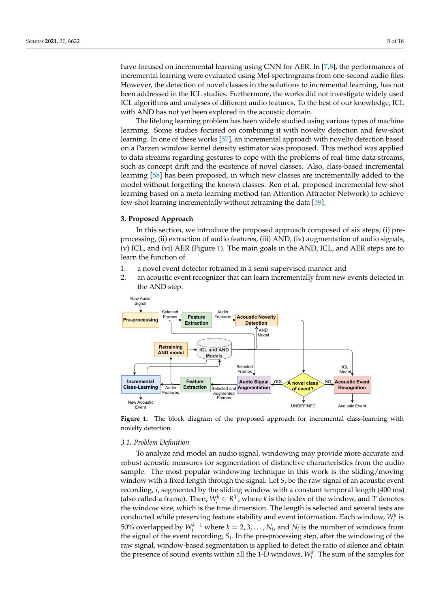have focused on incremental learning using CNN for AER. In [\[7](#page-14-6)[,8\]](#page-14-7), the performances of incremental learning were evaluated using Mel-spectrograms from one-second audio files. However, the detection of novel classes in the solutions to incremental learning, has not been addressed in the ICL studies. Furthermore, the works did not investigate widely used ICL algorithms and analyses of different audio features. To the best of our knowledge, ICL with AND has not yet been explored in the acoustic domain.

The lifelong learning problem has been widely studied using various types of machine learning. Some studies focused on combining it with novelty detection and few-shot learning. In one of these works [\[57\]](#page-16-20), an incremental approach with novelty detection based on a Parzen window kernel density estimator was proposed. This method was applied to data streams regarding gestures to cope with the problems of real-time data streams, such as concept drift and the existence of novel classes. Also, class-based incremental learning [\[58\]](#page-16-21) has been proposed, in which new classes are incrementally added to the model without forgetting the known classes. Ren et al. proposed incremental few-shot learning based on a meta-learning method (an Attention Attractor Network) to achieve few-shot learning incrementally without retraining the data [\[59\]](#page-16-22).

# <span id="page-4-0"></span>**3. Proposed Approach**

In this section, we introduce the proposed approach composed of six steps; (i) preprocessing, (ii) extraction of audio features, (iii) AND, (iv) augmentation of audio signals, (v) ICL, and (vi) AER (Figure [1\)](#page-4-1). The main goals in the AND, ICL, and AER steps are to learn the function of

- 1. a novel event detector retrained in a semi-supervised manner and
- 2. an acoustic event recognizer that can learn incrementally from new events detected in the AND step.

<span id="page-4-1"></span>

**Figure 1.** The block diagram of the proposed approach for incremental class-learning with novelty detection.

## <span id="page-4-2"></span>*3.1. Problem Definition*

To analyze and model an audio signal, windowing may provide more accurate and robust acoustic measures for segmentation of distinctive characteristics from the audio sample. The most popular windowing technique in this work is the sliding/moving window with a fixed length through the signal. Let *S<sup>i</sup>* be the raw signal of an acoustic event recording, *i*, segmented by the sliding window with a constant temporal length (400 ms) (also called a frame). Then,  $W_i^k \in R^T$ , where *k* is the index of the window, and *T* denotes the window size, which is the time dimension. The length is selected and several tests are conducted while preserving feature stability and event information. Each window,  $W_i^k$  is 50% overlapped by  $W_i^{k-1}$  where  $k = 2, 3, ..., N_i$ , and  $N_i$  is the number of windows from the signal of the event recording, *S<sup>i</sup>* . In the pre-processing step, after the windowing of the raw signal, window-based segmentation is applied to detect the ratio of silence and obtain the presence of sound events within all the 1-D windows,  $W_i^k$ . The sum of the samples for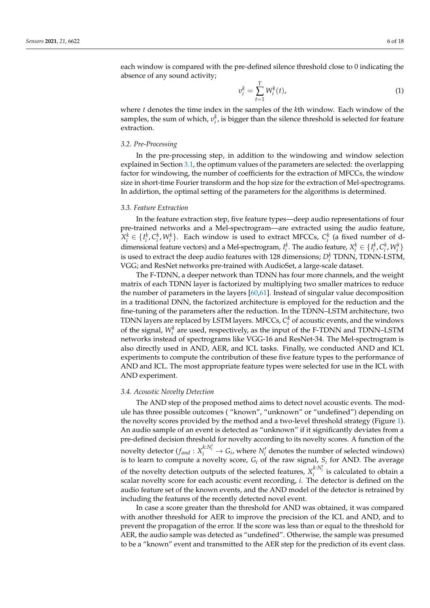each window is compared with the pre-defined silence threshold close to 0 indicating the absence of any sound activity;

$$
v_i^k = \sum_{t=1}^T W_i^k(t),\tag{1}
$$

where *t* denotes the time index in the samples of the *k*th window. Each window of the samples, the sum of which,  $v_i^k$ , is bigger than the silence threshold is selected for feature extraction.

### *3.2. Pre-Processing*

In the pre-processing step, in addition to the windowing and window selection explained in Section [3.1,](#page-4-2) the optimum values of the parameters are selected: the overlapping factor for windowing, the number of coefficients for the extraction of MFCCs, the window size in short-time Fourier transform and the hop size for the extraction of Mel-spectrograms. In addirtion, the optimal setting of the parameters for the algorithms is determined.

## *3.3. Feature Extraction*

In the feature extraction step, five feature types—deep audio representations of four pre-trained networks and a Mel-spectrogram—are extracted using the audio feature,  $X_i^k \in \{I_i^k, C_i^k, W_i^k\}$ . Each window is used to extract MFCCs,  $C_i^k$  (a fixed number of ddimensional feature vectors) and a Mel-spectrogram,  $I_i^k$ . The audio feature,  $X_i^k \in \{I_i^k, C_i^k, W_i^k\}$ is used to extract the deep audio features with 128 dimensions;  $D_i^k$  TDNN, TDNN-LSTM, VGG; and ResNet networks pre-trained with AudioSet, a large-scale dataset.

The F-TDNN, a deeper network than TDNN has four more channels, and the weight matrix of each TDNN layer is factorized by multiplying two smaller matrices to reduce the number of parameters in the layers [\[60,](#page-16-23)[61\]](#page-16-24). Instead of singular value decomposition in a traditional DNN, the factorized architecture is employed for the reduction and the fine-tuning of the parameters after the reduction. In the TDNN–LSTM architecture, two TDNN layers are replaced by LSTM layers. MFCCs,  $C_i^k$  of acoustic events, and the windows of the signal,  $W_i^k$  are used, respectively, as the input of the F-TDNN and TDNN–LSTM networks instead of spectrograms like VGG-16 and ResNet-34. The Mel-spectrogram is also directly used in AND, AER, and ICL tasks. Finally, we conducted AND and ICL experiments to compute the contribution of these five feature types to the performance of AND and ICL. The most appropriate feature types were selected for use in the ICL with AND experiment.

## *3.4. Acoustic Novelty Detection*

The AND step of the proposed method aims to detect novel acoustic events. The module has three possible outcomes ( "known", "unknown" or "undefined") depending on the novelty scores provided by the method and a two-level threshold strategy (Figure [1\)](#page-4-1). An audio sample of an event is detected as "unknown" if it significantly deviates from a pre-defined decision threshold for novelty according to its novelty scores. A function of the novelty detector  $(f_{and}: X_i^{k:N_i'} \to G_i$ , where  $N_i'$  denotes the number of selected windows) is to learn to compute a novelty score, *G<sup>i</sup>* of the raw signal, *S<sup>i</sup>* for AND. The average of the novelty detection outputs of the selected features,  $X_i^{k:N_i'}$  is calculated to obtain a scalar novelty score for each acoustic event recording, *i*. The detector is defined on the audio feature set of the known events, and the AND model of the detector is retrained by including the features of the recently detected novel event.

In case a score greater than the threshold for AND was obtained, it was compared with another threshold for AER to improve the precision of the ICL and AND, and to prevent the propagation of the error. If the score was less than or equal to the threshold for AER, the audio sample was detected as "undefined". Otherwise, the sample was presumed to be a "known" event and transmitted to the AER step for the prediction of its event class.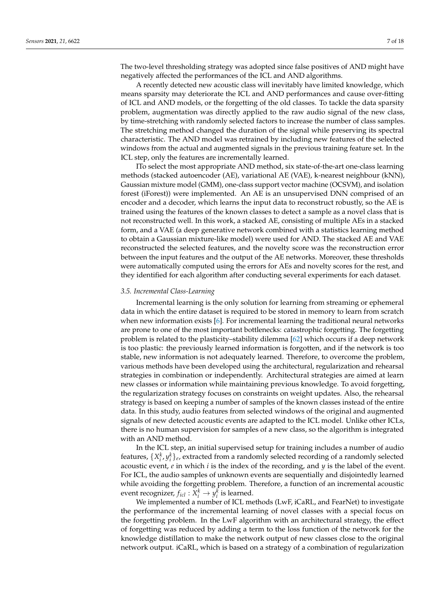The two-level thresholding strategy was adopted since false positives of AND might have negatively affected the performances of the ICL and AND algorithms.

A recently detected new acoustic class will inevitably have limited knowledge, which means sparsity may deteriorate the ICL and AND performances and cause over-fitting of ICL and AND models, or the forgetting of the old classes. To tackle the data sparsity problem, augmentation was directly applied to the raw audio signal of the new class, by time-stretching with randomly selected factors to increase the number of class samples. The stretching method changed the duration of the signal while preserving its spectral characteristic. The AND model was retrained by including new features of the selected windows from the actual and augmented signals in the previous training feature set. In the ICL step, only the features are incrementally learned.

ITo select the most appropriate AND method, six state-of-the-art one-class learning methods (stacked autoencoder (AE), variational AE (VAE), k-nearest neighbour (kNN), Gaussian mixture model (GMM), one-class support vector machine (OCSVM), and isolation forest (iForest)) were implemented. An AE is an unsupervised DNN comprised of an encoder and a decoder, which learns the input data to reconstruct robustly, so the AE is trained using the features of the known classes to detect a sample as a novel class that is not reconstructed well. In this work, a stacked AE, consisting of multiple AEs in a stacked form, and a VAE (a deep generative network combined with a statistics learning method to obtain a Gaussian mixture-like model) were used for AND. The stacked AE and VAE reconstructed the selected features, and the novelty score was the reconstruction error between the input features and the output of the AE networks. Moreover, these thresholds were automatically computed using the errors for AEs and novelty scores for the rest, and they identified for each algorithm after conducting several experiments for each dataset.

## *3.5. Incremental Class-Learning*

Incremental learning is the only solution for learning from streaming or ephemeral data in which the entire dataset is required to be stored in memory to learn from scratch when new information exists [\[6\]](#page-14-5). For incremental learning the traditional neural networks are prone to one of the most important bottlenecks: catastrophic forgetting. The forgetting problem is related to the plasticity–stability dilemma [\[62\]](#page-17-0) which occurs if a deep network is too plastic: the previously learned information is forgotten, and if the network is too stable, new information is not adequately learned. Therefore, to overcome the problem, various methods have been developed using the architectural, regularization and rehearsal strategies in combination or independently. Architectural strategies are aimed at learn new classes or information while maintaining previous knowledge. To avoid forgetting, the regularization strategy focuses on constraints on weight updates. Also, the rehearsal strategy is based on keeping a number of samples of the known classes instead of the entire data. In this study, audio features from selected windows of the original and augmented signals of new detected acoustic events are adapted to the ICL model. Unlike other ICLs, there is no human supervision for samples of a new class, so the algorithm is integrated with an AND method.

In the ICL step, an initial supervised setup for training includes a number of audio features,  $\{X_i^k, y_i^k\}_e$ , extracted from a randomly selected recording of a randomly selected acoustic event, *e* in which *i* is the index of the recording, and *y* is the label of the event. For ICL, the audio samples of unknown events are sequentially and disjointedly learned while avoiding the forgetting problem. Therefore, a function of an incremental acoustic event recognizer,  $f_{icl}: X_i^k \to y_i^k$  is learned.

We implemented a number of ICL methods (LwF, iCaRL, and FearNet) to investigate the performance of the incremental learning of novel classes with a special focus on the forgetting problem. In the LwF algorithm with an architectural strategy, the effect of forgetting was reduced by adding a term to the loss function of the network for the knowledge distillation to make the network output of new classes close to the original network output. iCaRL, which is based on a strategy of a combination of regularization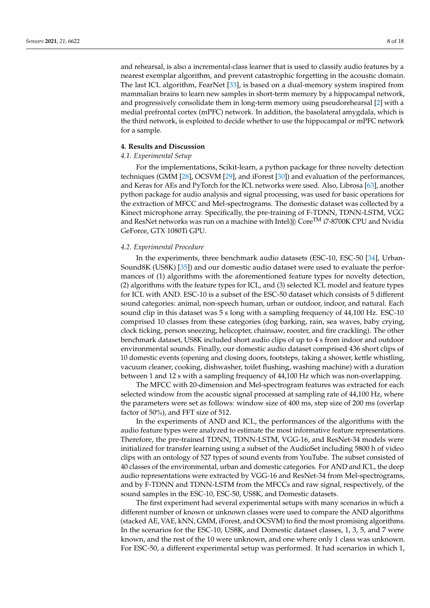and rehearsal, is also a incremental-class learner that is used to classify audio features by a nearest exemplar algorithm, and prevent catastrophic forgetting in the acoustic domain. The last ICL algorithm, FearNet [\[33\]](#page-15-23), is based on a dual-memory system inspired from mammalian brains to learn new samples in short-term memory by a hippocampal network, and progressively consolidate them in long-term memory using pseudorehearsal [\[2\]](#page-14-1) with a medial prefrontal cortex (mPFC) network. In addition, the basolateral amygdala, which is the third network, is exploited to decide whether to use the hippocampal or mPFC network for a sample.

## <span id="page-7-0"></span>**4. Results and Discussion**

# *4.1. Experimental Setup*

For the implementations, Scikit-learn, a python package for three novelty detection techniques (GMM [\[28\]](#page-15-18), OCSVM [\[29\]](#page-15-19), and iForest [\[30\]](#page-15-20)) and evaluation of the performances, and Keras for AEs and PyTorch for the ICL networks were used. Also, Librosa [\[63\]](#page-17-1), another python package for audio analysis and signal processing, was used for basic operations for the extraction of MFCC and Mel-spectrograms. The domestic dataset was collected by a Kinect microphone array. Specifically, the pre-training of F-TDNN, TDNN-LSTM, VGG and ResNet networks was run on a machine with Intel $\mathbb R$  Core<sup>TM</sup> i7-8700K CPU and Nvidia GeForce, GTX 1080Ti GPU.

## *4.2. Experimental Procedure*

In the experiments, three benchmark audio datasets (ESC-10, ESC-50 [\[34\]](#page-15-24), Urban-Sound8K (US8K) [\[35\]](#page-15-25)) and our domestic audio dataset were used to evaluate the performances of (1) algorithms with the aforementioned feature types for novelty detection, (2) algorithms with the feature types for ICL, and (3) selected ICL model and feature types for ICL with AND. ESC-10 is a subset of the ESC-50 dataset which consists of 5 different sound categories: animal, non-speech human, urban or outdoor, indoor, and natural. Each sound clip in this dataset was 5 s long with a sampling frequency of 44,100 Hz. ESC-10 comprised 10 classes from these categories (dog barking, rain, sea waves, baby crying, clock ticking, person sneezing, helicopter, chainsaw, rooster, and fire crackling). The other benchmark dataset, US8K included short audio clips of up to 4 s from indoor and outdoor environmental sounds. Finally, our domestic audio dataset comprised 436 short clips of 10 domestic events (opening and closing doors, footsteps, taking a shower, kettle whistling, vacuum cleaner, cooking, dishwasher, toilet flushing, washing machine) with a duration between 1 and 12 s with a sampling frequency of 44,100 Hz which was non-overlapping.

The MFCC with 20-dimension and Mel-spectrogram features was extracted for each selected window from the acoustic signal processed at sampling rate of 44,100 Hz, where the parameters were set as follows: window size of 400 ms, step size of 200 ms (overlap factor of 50%), and FFT size of 512.

In the experiments of AND and ICL, the performances of the algorithms with the audio feature types were analyzed to estimate the most informative feature representations. Therefore, the pre-trained TDNN, TDNN-LSTM, VGG-16, and ResNet-34 models were initialized for transfer learning using a subset of the AudioSet including 5800 h of video clips with an ontology of 527 types of sound events from YouTube. The subset consisted of 40 classes of the environmental, urban and domestic categories. For AND and ICL, the deep audio representations were extracted by VGG-16 and ResNet-34 from Mel-spectrograms, and by F-TDNN and TDNN-LSTM from the MFCCs and raw signal, respectively, of the sound samples in the ESC-10, ESC-50, US8K, and Domestic datasets.

The first experiment had several experimental setups with many scenarios in which a different number of known or unknown classes were used to compare the AND algorithms (stacked AE, VAE, kNN, GMM, iForest, and OCSVM) to find the most promising algorithms. In the scenarios for the ESC-10, US8K, and Domestic dataset classes, 1, 3, 5, and 7 were known, and the rest of the 10 were unknown, and one where only 1 class was unknown. For ESC-50, a different experimental setup was performed. It had scenarios in which 1,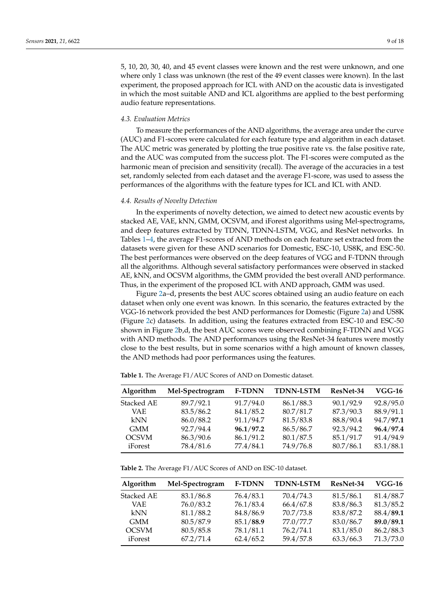5, 10, 20, 30, 40, and 45 event classes were known and the rest were unknown, and one where only 1 class was unknown (the rest of the 49 event classes were known). In the last experiment, the proposed approach for ICL with AND on the acoustic data is investigated in which the most suitable AND and ICL algorithms are applied to the best performing audio feature representations.

# *4.3. Evaluation Metrics*

To measure the performances of the AND algorithms, the average area under the curve (AUC) and F1-scores were calculated for each feature type and algorithm in each dataset. The AUC metric was generated by plotting the true positive rate vs. the false positive rate, and the AUC was computed from the success plot. The F1-scores were computed as the harmonic mean of precision and sensitivity (recall). The average of the accuracies in a test set, randomly selected from each dataset and the average F1-score, was used to assess the performances of the algorithms with the feature types for ICL and ICL with AND.

# *4.4. Results of Novelty Detection*

In the experiments of novelty detection, we aimed to detect new acoustic events by stacked AE, VAE, kNN, GMM, OCSVM, and iForest algorithms using Mel-spectrograms, and deep features extracted by TDNN, TDNN-LSTM, VGG, and ResNet networks. In Tables [1](#page-8-0)[–4,](#page-9-0) the average F1-scores of AND methods on each feature set extracted from the datasets were given for these AND scenarios for Domestic, ESC-10, US8K, and ESC-50. The best performances were observed on the deep features of VGG and F-TDNN through all the algorithms. Although several satisfactory performances were observed in stacked AE, kNN, and OCSVM algorithms, the GMM provided the best overall AND performance. Thus, in the experiment of the proposed ICL with AND approach, GMM was used.

Figure [2a](#page-9-1)–d, presents the best AUC scores obtained using an audio feature on each dataset when only one event was known. In this scenario, the features extracted by the VGG-16 network provided the best AND performances for Domestic (Figure [2a](#page-9-1)) and US8K (Figure [2c](#page-9-1)) datasets. In addition, using the features extracted from ESC-10 and ESC-50 shown in Figure [2b](#page-9-1),d, the best AUC scores were observed combining F-TDNN and VGG with AND methods. The AND performances using the ResNet-34 features were mostly close to the best results, but in some scenarios withf a high amount of known classes, the AND methods had poor performances using the features.

| Algorithm    | Mel-Spectrogram | <b>F-TDNN</b> | <b>TDNN-LSTM</b> | ResNet-34 | $VGG-16$  |
|--------------|-----------------|---------------|------------------|-----------|-----------|
| Stacked AE   | 89.7/92.1       | 91.7/94.0     | 86.1/88.3        | 90.1/92.9 | 92.8/95.0 |
| VAE.         | 83.5/86.2       | 84.1/85.2     | 80.7/81.7        | 87.3/90.3 | 88.9/91.1 |
| kNN          | 86.0/88.2       | 91.1/94.7     | 81.5/83.8        | 88.8/90.4 | 94.7/97.1 |
| <b>GMM</b>   | 92.7/94.4       | 96.1/97.2     | 86.5/86.7        | 92.3/94.2 | 96.4/97.4 |
| <b>OCSVM</b> | 86.3/90.6       | 86.1/91.2     | 80.1/87.5        | 85.1/91.7 | 91.4/94.9 |
| iForest      | 78.4/81.6       | 77.4/84.1     | 74.9/76.8        | 80.7/86.1 | 83.1/88.1 |

<span id="page-8-0"></span>**Table 1.** The Average F1/AUC Scores of AND on Domestic dataset.

**Table 2.** The Average F1/AUC Scores of AND on ESC-10 dataset.

| Algorithm    | Mel-Spectrogram | <b>F-TDNN</b> | <b>TDNN-LSTM</b> | ResNet-34 | <b>VGG-16</b> |
|--------------|-----------------|---------------|------------------|-----------|---------------|
| Stacked AE   | 83.1/86.8       | 76.4/83.1     | 70.4/74.3        | 81.5/86.1 | 81.4/88.7     |
| VAE.         | 76.0/83.2       | 76.1/83.4     | 66.4/67.8        | 83.8/86.3 | 81.3/85.2     |
| kNN          | 81.1/88.2       | 84.8/86.9     | 70.7/73.8        | 83.8/87.2 | 88.4/89.1     |
| <b>GMM</b>   | 80.5/87.9       | 85.1/88.9     | 77.0/77.7        | 83.0/86.7 | 89.0/89.1     |
| <b>OCSVM</b> | 80.5/85.8       | 78.1/81.1     | 76.2/74.1        | 83.1/85.0 | 86.2/88.3     |
| iForest      | 67.2 / 71.4     | 62.4/65.2     | 59.4/57.8        | 63.3/66.3 | 71.3/73.0     |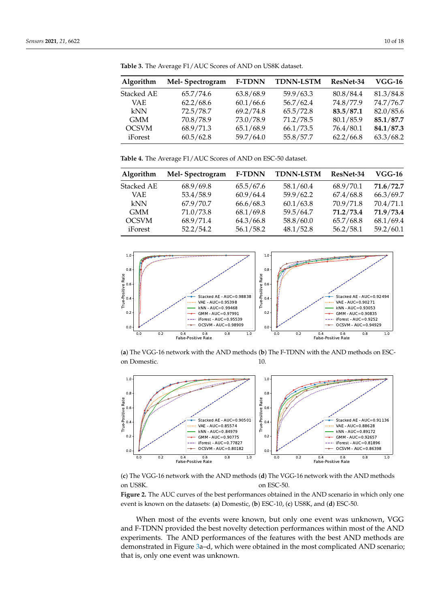| Algorithm    | Mel-Spectrogram | <b>F-TDNN</b> | <b>TDNN-LSTM</b> | ResNet-34 | $VGG-16$  |
|--------------|-----------------|---------------|------------------|-----------|-----------|
| Stacked AE   | 65.7/74.6       | 63.8/68.9     | 59.9/63.3        | 80.8/84.4 | 81.3/84.8 |
| VAE          | 62.2/68.6       | 60.1/66.6     | 56.7/62.4        | 74.8/77.9 | 74.7/76.7 |
| kNN          | 72.5/78.7       | 69.2/74.8     | 65.5/72.8        | 83.5/87.1 | 82.0/85.6 |
| <b>GMM</b>   | 70.8/78.9       | 73.0/78.9     | 71.2/78.5        | 80.1/85.9 | 85.1/87.7 |
| <b>OCSVM</b> | 68.9/71.3       | 65.1/68.9     | 66.1/73.5        | 76.4/80.1 | 84.1/87.3 |
| iForest      | 60.5/62.8       | 59.7/64.0     | 55.8/57.7        | 62.2/66.8 | 63.3/68.2 |

**Table 3.** The Average F1/AUC Scores of AND on US8K dataset.

<span id="page-9-0"></span>**Table 4.** The Average F1/AUC Scores of AND on ESC-50 dataset.

| <b>Algorithm</b> | Mel-Spectrogram | <b>F-TDNN</b> | <b>TDNN-LSTM</b> | ResNet-34 | <b>VGG-16</b> |
|------------------|-----------------|---------------|------------------|-----------|---------------|
| Stacked AE       | 68.9/69.8       | 65.5/67.6     | 58.1/60.4        | 68.9/70.1 | 71.6/72.7     |
| VAE.             | 53.4/58.9       | 60.9/64.4     | 59.9/62.2        | 67.4/68.8 | 66.3/69.7     |
| kNN              | 67.9/70.7       | 66.6/68.3     | 60.1/63.8        | 70.9/71.8 | 70.4/71.1     |
| <b>GMM</b>       | 71.0/73.8       | 68.1/69.8     | 59.5/64.7        | 71.2/73.4 | 71.9/73.4     |
| <b>OCSVM</b>     | 68.9/71.4       | 64.3/66.8     | 58.8/60.0        | 65.7/68.8 | 68.1/69.4     |
| iForest          | 52.2/54.2       | 56.1/58.2     | 48.1/52.8        | 56.2/58.1 | 59.2/60.1     |

<span id="page-9-1"></span>

(**a**) The VGG-16 network with the AND methods (**b**) The F-TDNN with the AND methods on ESCon Domestic. 10.



(**c**) The VGG-16 network with the AND methods (**d**) The VGG-16 network with the AND methods on US8K. on ESC-50.

**Figure 2.** The AUC curves of the best performances obtained in the AND scenario in which only one event is known on the datasets: (**a**) Domestic, (**b**) ESC-10, (**c**) US8K, and (**d**) ESC-50.

When most of the events were known, but only one event was unknown, VGG and F-TDNN provided the best novelty detection performances within most of the AND experiments. The AND performances of the features with the best AND methods are demonstrated in Figure [3a](#page-10-0)–d, which were obtained in the most complicated AND scenario; that is, only one event was unknown.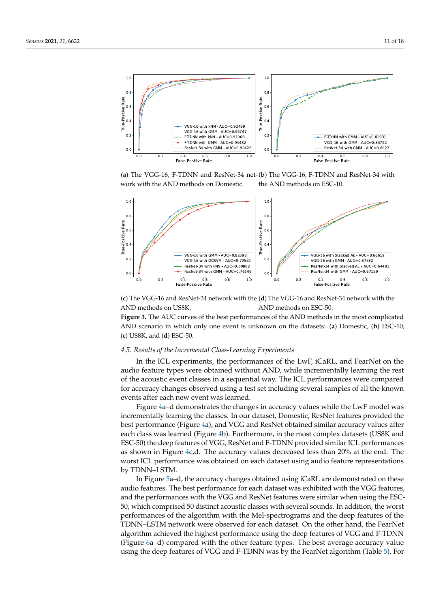

<span id="page-10-0"></span>

(**a**) The VGG-16, F-TDNN and ResNet-34 net-(**b**) The VGG-16, F-TDNN and ResNet-34 with work with the AND methods on Domestic. the AND methods on ESC-10.



(**c**) The VGG-16 and ResNet-34 network with the (**d**) The VGG-16 and ResNet-34 network with the AND methods on US8K. AND methods on ESC-50.

**Figure 3.** The AUC curves of the best performances of the AND methods in the most complicated AND scenario in which only one event is unknown on the datasets: (**a**) Domestic, (**b**) ESC-10, (**c**) US8K, and (**d**) ESC-50.

## *4.5. Results of the Incremental Class-Learning Experiments*

In the ICL experiments, the performances of the LwF, iCaRL, and FearNet on the audio feature types were obtained without AND, while incrementally learning the rest of the acoustic event classes in a sequential way. The ICL performances were compared for accuracy changes observed using a test set including several samples of all the known events after each new event was learned.

Figure [4a](#page-11-0)–d demonstrates the changes in accuracy values while the LwF model was incrementally learning the classes. In our dataset, Domestic, ResNet features provided the best performance (Figure [4a](#page-11-0)), and VGG and ResNet obtained similar accuracy values after each class was learned (Figure [4b](#page-11-0)). Furthermore, in the most complex datasets (US8K and ESC-50) the deep features of VGG, ResNet and F-TDNN provided similar ICL performances as shown in Figure [4c](#page-11-0),d. The accuracy values decreased less than 20% at the end. The worst ICL performance was obtained on each dataset using audio feature representations by TDNN–LSTM.

In Figure [5a](#page-11-1)–d, the accuracy changes obtained using iCaRL are demonstrated on these audio features. The best performance for each dataset was exhibited with the VGG features, and the performances with the VGG and ResNet features were similar when using the ESC-50, which comprised 50 distinct acoustic classes with several sounds. In addition, the worst performances of the algorithm with the Mel-spectrograms and the deep features of the TDNN–LSTM network were observed for each dataset. On the other hand, the FearNet algorithm achieved the highest performance using the deep features of VGG and F-TDNN (Figure [6a](#page-12-0)–d) compared with the other feature types. The best average accuracy value using the deep features of VGG and F-TDNN was by the FearNet algorithm (Table [5\)](#page-13-1). For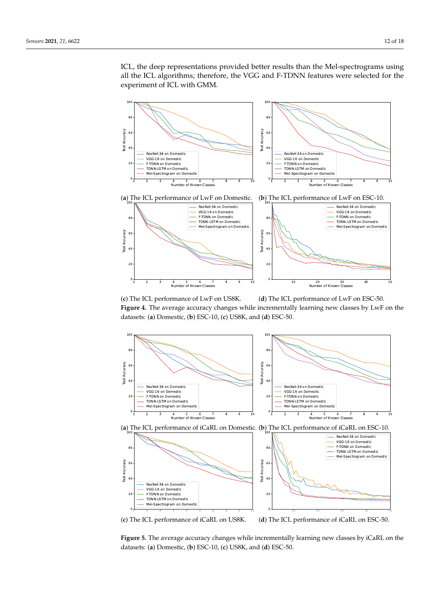ICL, the deep representations provided better results than the Mel-spectrograms using all the ICL algorithms; therefore, the VGG and F-TDNN features were selected for the experiment of ICL with GMM.

<span id="page-11-0"></span>

(**c**) The ICL performance of LwF on US8K. (**d**) The ICL performance of LwF on ESC-50. **Figure 4.** The average accuracy changes while incrementally learning new classes by LwF on the datasets: (**a**) Domestic, (**b**) ESC-10, (**c**) US8K, and (**d**) ESC-50.

<span id="page-11-1"></span>

**Figure 5.** The average accuracy changes while incrementally learning new classes by iCaRL on the datasets: (**a**) Domestic, (**b**) ESC-10, (**c**) US8K, and (**d**) ESC-50.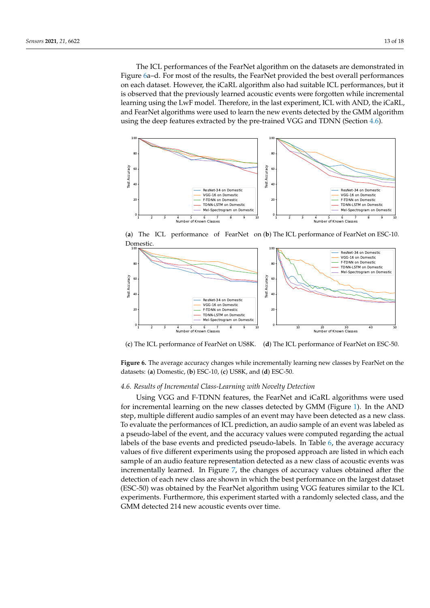The ICL performances of the FearNet algorithm on the datasets are demonstrated in Figure [6a](#page-12-0)–d. For most of the results, the FearNet provided the best overall performances on each dataset. However, the iCaRL algorithm also had suitable ICL performances, but it is observed that the previously learned acoustic events were forgotten while incremental learning using the LwF model. Therefore, in the last experiment, ICL with AND, the iCaRL, and FearNet algorithms were used to learn the new events detected by the GMM algorithm using the deep features extracted by the pre-trained VGG and TDNN (Section [4.6\)](#page-12-1).

<span id="page-12-0"></span>

(**a**) The ICL performance of FearNet on (**b**) The ICL performance of FearNet on ESC-10. Domestic.



(**c**) The ICL performance of FearNet on US8K. (**d**) The ICL performance of FearNet on ESC-50.

Figure 6. The average accuracy changes while incrementally learning new classes by FearNet on the datasets: (**a**) Domestic, (**b**) ESC-10, (**c**) US8K, and (**d**) ESC-50.

# <span id="page-12-1"></span>*4.6. Results of Incremental Class-Learning with Novelty Detection*

Using VGG and F-TDNN features, the FearNet and iCaRL algorithms were used for incremental learning on the new classes detected by GMM (Figure [1\)](#page-4-1). In the AND step, multiple different audio samples of an event may have been detected as a new class. To evaluate the performances of ICL prediction, an audio sample of an event was labeled as a pseudo-label of the event, and the accuracy values were computed regarding the actual labels of the base events and predicted pseudo-labels. In Table [6,](#page-13-2) the average accuracy values of five different experiments using the proposed approach are listed in which each sample of an audio feature representation detected as a new class of acoustic events was incrementally learned. In Figure [7,](#page-13-3) the changes of accuracy values obtained after the detection of each new class are shown in which the best performance on the largest dataset (ESC-50) was obtained by the FearNet algorithm using VGG features similar to the ICL experiments. Furthermore, this experiment started with a randomly selected class, and the GMM detected 214 new acoustic events over time.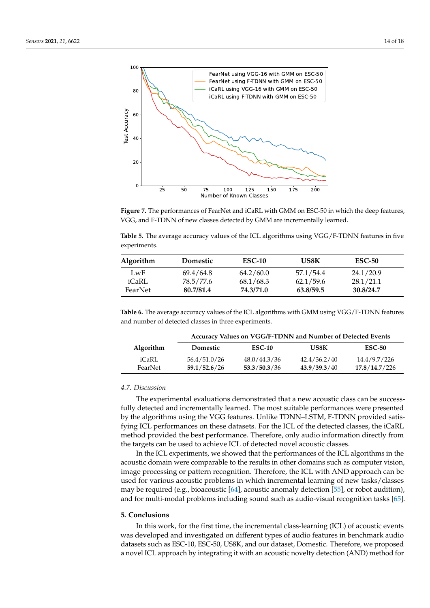<span id="page-13-3"></span>

**Figure 7.** The performances of FearNet and iCaRL with GMM on ESC-50 in which the deep features, VGG, and F-TDNN of new classes detected by GMM are incrementally learned.

<span id="page-13-1"></span>**Table 5.** The average accuracy values of the ICL algorithms using VGG/F-TDNN features in five experiments.

| <b>Algorithm</b> | Domestic  | <b>ESC-10</b> | <b>US8K</b> | <b>ESC-50</b> |
|------------------|-----------|---------------|-------------|---------------|
| LwF              | 69.4/64.8 | 64.2/60.0     | 57.1/54.4   | 24.1/20.9     |
| iCaRL            | 78.5/77.6 | 68.1/68.3     | 62.1/59.6   | 28.1/21.1     |
| FearNet          | 80.7/81.4 | 74.3/71.0     | 63.8/59.5   | 30.8/24.7     |

<span id="page-13-2"></span>**Table 6.** The average accuracy values of the ICL algorithms with GMM using VGG/F-TDNN features and number of detected classes in three experiments.

| <b>US8K</b>  | <b>ESC-50</b>                 |
|--------------|-------------------------------|
| 42.4/36.2/40 | 14.4/9.7/226<br>17.8/14.7/226 |
|              | 43.9/39.3/40                  |

# *4.7. Discussion*

The experimental evaluations demonstrated that a new acoustic class can be successfully detected and incrementally learned. The most suitable performances were presented by the algorithms using the VGG features. Unlike TDNN–LSTM, F-TDNN provided satisfying ICL performances on these datasets. For the ICL of the detected classes, the iCaRL method provided the best performance. Therefore, only audio information directly from the targets can be used to achieve ICL of detected novel acoustic classes.

In the ICL experiments, we showed that the performances of the ICL algorithms in the acoustic domain were comparable to the results in other domains such as computer vision, image processing or pattern recognition. Therefore, the ICL with AND approach can be used for various acoustic problems in which incremental learning of new tasks/classes may be required (e.g., bioacoustic [\[64\]](#page-17-2), acoustic anomaly detection [\[55\]](#page-16-18), or robot audition), and for multi-modal problems including sound such as audio-visual recognition tasks [\[65\]](#page-17-3).

#### <span id="page-13-0"></span>**5. Conclusions**

In this work, for the first time, the incremental class-learning (ICL) of acoustic events was developed and investigated on different types of audio features in benchmark audio datasets such as ESC-10, ESC-50, US8K, and our dataset, Domestic. Therefore, we proposed a novel ICL approach by integrating it with an acoustic novelty detection (AND) method for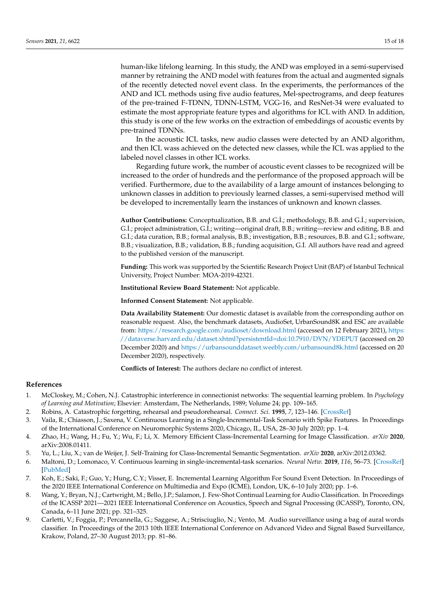human-like lifelong learning. In this study, the AND was employed in a semi-supervised manner by retraining the AND model with features from the actual and augmented signals of the recently detected novel event class. In the experiments, the performances of the AND and ICL methods using five audio features, Mel-spectrograms, and deep features of the pre-trained F-TDNN, TDNN-LSTM, VGG-16, and ResNet-34 were evaluated to estimate the most appropriate feature types and algorithms for ICL with AND. In addition, this study is one of the few works on the extraction of embeddings of acoustic events by pre-trained TDNNs.

In the acoustic ICL tasks, new audio classes were detected by an AND algorithm, and then ICL wass achieved on the detected new classes, while the ICL was applied to the labeled novel classes in other ICL works.

Regarding future work, the number of acoustic event classes to be recognized will be increased to the order of hundreds and the performance of the proposed approach will be verified. Furthermore, due to the availability of a large amount of instances belonging to unknown classes in addition to previously learned classes, a semi-supervised method will be developed to incrementally learn the instances of unknown and known classes.

**Author Contributions:** Conceptualization, B.B. and G.I.; methodology, B.B. and G.I.; supervision, G.İ.; project administration, G.İ.; writing—original draft, B.B.; writing—review and editing, B.B. and G.İ.; data curation, B.B.; formal analysis, B.B.; investigation, B.B.; resources, B.B. and G.İ.; software, B.B.; visualization, B.B.; validation, B.B.; funding acquisition, G.I. All authors have read and agreed to the published version of the manuscript.

**Funding:** This work was supported by the Scientific Research Project Unit (BAP) of Istanbul Technical University, Project Number: MOA-2019-42321.

**Institutional Review Board Statement:** Not applicable.

**Informed Consent Statement:** Not applicable.

**Data Availability Statement:** Our domestic dataset is available from the corresponding author on reasonable request. Also, the benchmark datasets, AudioSet, UrbanSound8K and ESC are available from: <https://research.google.com/audioset/download.html> (accessed on 12 February 2021), [https:](https://dataverse.harvard.edu/dataset.xhtml?persistentId=doi:10.7910/DVN/YDEPUT) [//dataverse.harvard.edu/dataset.xhtml?persistentId=doi:10.7910/DVN/YDEPUT](https://dataverse.harvard.edu/dataset.xhtml?persistentId=doi:10.7910/DVN/YDEPUT) (accessed on 20 December 2020) and <https://urbansounddataset.weebly.com/urbansound8k.html> (accessed on 20 December 2020), respectively.

**Conflicts of Interest:** The authors declare no conflict of interest.

## **References**

- <span id="page-14-0"></span>1. McCloskey, M.; Cohen, N.J. Catastrophic interference in connectionist networks: The sequential learning problem. In *Psychology of Learning and Motivation*; Elsevier: Amsterdam, The Netherlands, 1989; Volume 24; pp. 109–165.
- <span id="page-14-1"></span>2. Robins, A. Catastrophic forgetting, rehearsal and pseudorehearsal. *Connect. Sci.* **1995**, *7*, 123–146. [\[CrossRef\]](http://doi.org/10.1080/09540099550039318)
- <span id="page-14-2"></span>3. Vaila, R.; Chiasson, J.; Saxena, V. Continuous Learning in a Single-Incremental-Task Scenario with Spike Features. In Proceedings of the International Conference on Neuromorphic Systems 2020, Chicago, IL, USA, 28–30 July 2020; pp. 1–4.
- <span id="page-14-3"></span>4. Zhao, H.; Wang, H.; Fu, Y.; Wu, F.; Li, X. Memory Efficient Class-Incremental Learning for Image Classification. *arXiv* **2020**, arXiv:2008.01411.
- <span id="page-14-4"></span>5. Yu, L.; Liu, X.; van de Weijer, J. Self-Training for Class-Incremental Semantic Segmentation. *arXiv* **2020**, arXiv:2012.03362.
- <span id="page-14-5"></span>6. Maltoni, D.; Lomonaco, V. Continuous learning in single-incremental-task scenarios. *Neural Netw.* **2019**, *116*, 56–73. [\[CrossRef\]](http://dx.doi.org/10.1016/j.neunet.2019.03.010) [\[PubMed\]](http://www.ncbi.nlm.nih.gov/pubmed/31005851)
- <span id="page-14-6"></span>7. Koh, E.; Saki, F.; Guo, Y.; Hung, C.Y.; Visser, E. Incremental Learning Algorithm For Sound Event Detection. In Proceedings of the 2020 IEEE International Conference on Multimedia and Expo (ICME), London, UK, 6–10 July 2020; pp. 1–6.
- <span id="page-14-7"></span>8. Wang, Y.; Bryan, N.J.; Cartwright, M.; Bello, J.P.; Salamon, J. Few-Shot Continual Learning for Audio Classification. In Proceedings of the ICASSP 2021—2021 IEEE International Conference on Acoustics, Speech and Signal Processing (ICASSP), Toronto, ON, Canada, 6–11 June 2021; pp. 321–325.
- <span id="page-14-8"></span>9. Carletti, V.; Foggia, P.; Percannella, G.; Saggese, A.; Strisciuglio, N.; Vento, M. Audio surveillance using a bag of aural words classifier. In Proceedings of the 2013 10th IEEE International Conference on Advanced Video and Signal Based Surveillance, Krakow, Poland, 27–30 August 2013; pp. 81–86.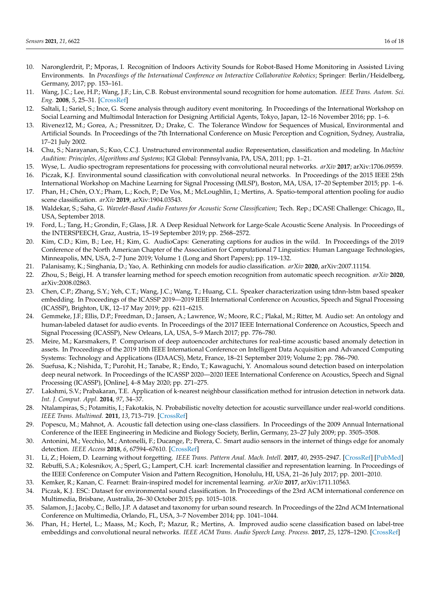- <span id="page-15-0"></span>10. Naronglerdrit, P.; Mporas, I. Recognition of Indoors Activity Sounds for Robot-Based Home Monitoring in Assisted Living Environments. In *Proceedings of the International Conference on Interactive Collaborative Robotics*; Springer: Berlin/Heidelberg, Germany, 2017; pp. 153–161.
- <span id="page-15-1"></span>11. Wang, J.C.; Lee, H.P.; Wang, J.F.; Lin, C.B. Robust environmental sound recognition for home automation. *IEEE Trans. Autom. Sci. Eng.* **2008**, *5*, 25–31. [\[CrossRef\]](http://dx.doi.org/10.1109/TASE.2007.911680)
- <span id="page-15-2"></span>12. Saltali, I.; Sariel, S.; Ince, G. Scene analysis through auditory event monitoring. In Proceedings of the International Workshop on Social Learning and Multimodal Interaction for Designing Artificial Agents, Tokyo, Japan, 12–16 November 2016; pp. 1–6.
- <span id="page-15-3"></span>13. Rivenez12, M.; Gorea, A.; Pressnitzer, D.; Drake, C. The Tolerance Window for Sequences of Musical, Environmental and Artificial Sounds. In Proceedings of the 7th International Conference on Music Perception and Cognition, Sydney, Australia, 17–21 July 2002.
- <span id="page-15-4"></span>14. Chu, S.; Narayanan, S.; Kuo, C.C.J. Unstructured environmental audio: Representation, classification and modeling. In *Machine Audition: Principles, Algorithms and Systems*; IGI Global: Pennsylvania, PA, USA, 2011; pp. 1–21.
- <span id="page-15-5"></span>15. Wyse, L. Audio spectrogram representations for processing with convolutional neural networks. *arXiv* **2017**; arXiv:1706.09559.
- <span id="page-15-6"></span>16. Piczak, K.J. Environmental sound classification with convolutional neural networks. In Proceedings of the 2015 IEEE 25th International Workshop on Machine Learning for Signal Processing (MLSP), Boston, MA, USA, 17–20 September 2015; pp. 1–6.
- <span id="page-15-7"></span>17. Phan, H.; Chén, O.Y.; Pham, L.; Koch, P.; De Vos, M.; McLoughlin, I.; Mertins, A. Spatio-temporal attention pooling for audio scene classification. *arXiv* **2019**, arXiv:1904.03543.
- <span id="page-15-8"></span>18. Waldekar, S.; Saha, G. *Wavelet-Based Audio Features for Acoustic Scene Classification*; Tech. Rep.; DCASE Challenge: Chicago, IL, USA, September 2018.
- <span id="page-15-9"></span>19. Ford, L.; Tang, H.; Grondin, F.; Glass, J.R. A Deep Residual Network for Large-Scale Acoustic Scene Analysis. In Proceedings of the INTERSPEECH, Graz, Austria, 15–19 September 2019; pp. 2568–2572.
- <span id="page-15-10"></span>20. Kim, C.D.; Kim, B.; Lee, H.; Kim, G. AudioCaps: Generating captions for audios in the wild. In Proceedings of the 2019 Conference of the North American Chapter of the Association for Computational 7 Linguistics: Human Language Technologies, Minneapolis, MN, USA, 2–7 June 2019; Volume 1 (Long and Short Papers); pp. 119–132.
- <span id="page-15-11"></span>21. Palanisamy, K.; Singhania, D.; Yao, A. Rethinking cnn models for audio classification. *arXiv* **2020**, arXiv:2007.11154.
- <span id="page-15-12"></span>22. Zhou, S.; Beigi, H. A transfer learning method for speech emotion recognition from automatic speech recognition. *arXiv* **2020**, arXiv:2008.02863.
- <span id="page-15-13"></span>23. Chen, C.P.; Zhang, S.Y.; Yeh, C.T.; Wang, J.C.; Wang, T.; Huang, C.L. Speaker characterization using tdnn-lstm based speaker embedding. In Proceedings of the ICASSP 2019—2019 IEEE International Conference on Acoustics, Speech and Signal Processing (ICASSP), Brighton, UK, 12–17 May 2019; pp. 6211–6215.
- <span id="page-15-14"></span>24. Gemmeke, J.F.; Ellis, D.P.; Freedman, D.; Jansen, A.; Lawrence, W.; Moore, R.C.; Plakal, M.; Ritter, M. Audio set: An ontology and human-labeled dataset for audio events. In Proceedings of the 2017 IEEE International Conference on Acoustics, Speech and Signal Processing (ICASSP), New Orleans, LA, USA, 5–9 March 2017; pp. 776–780.
- <span id="page-15-15"></span>25. Meire, M.; Karsmakers, P. Comparison of deep autoencoder architectures for real-time acoustic based anomaly detection in assets. In Proceedings of the 2019 10th IEEE International Conference on Intelligent Data Acquisition and Advanced Computing Systems: Technology and Applications (IDAACS), Metz, France, 18–21 September 2019; Volume 2; pp. 786–790.
- <span id="page-15-16"></span>26. Suefusa, K.; Nishida, T.; Purohit, H.; Tanabe, R.; Endo, T.; Kawaguchi, Y. Anomalous sound detection based on interpolation deep neural network. In Proceedings of the ICASSP 2020—2020 IEEE International Conference on Acoustics, Speech and Signal Processing (ICASSP), [Online], 4–8 May 2020; pp. 271–275.
- <span id="page-15-17"></span>27. Lakshmi, S.V.; Prabakaran, T.E. Application of k-nearest neighbour classification method for intrusion detection in network data. *Int. J. Comput. Appl.* **2014**, *97*, 34–37.
- <span id="page-15-18"></span>28. Ntalampiras, S.; Potamitis, I.; Fakotakis, N. Probabilistic novelty detection for acoustic surveillance under real-world conditions. *IEEE Trans. Multimed.* **2011**, *13*, 713–719. [\[CrossRef\]](http://dx.doi.org/10.1109/TMM.2011.2122247)
- <span id="page-15-19"></span>29. Popescu, M.; Mahnot, A. Acoustic fall detection using one-class classifiers. In Proceedings of the 2009 Annual International Conference of the IEEE Engineering in Medicine and Biology Society, Berlin, Germany, 23–27 July 2009; pp. 3505–3508.
- <span id="page-15-20"></span>30. Antonini, M.; Vecchio, M.; Antonelli, F.; Ducange, P.; Perera, C. Smart audio sensors in the internet of things edge for anomaly detection. *IEEE Access* **2018**, *6*, 67594–67610. [\[CrossRef\]](http://dx.doi.org/10.1109/ACCESS.2018.2877523)
- <span id="page-15-21"></span>31. Li, Z.; Hoiem, D. Learning without forgetting. *IEEE Trans. Pattern Anal. Mach. Intell.* **2017**, *40*, 2935–2947. [\[CrossRef\]](http://dx.doi.org/10.1109/TPAMI.2017.2773081) [\[PubMed\]](http://www.ncbi.nlm.nih.gov/pubmed/29990101)
- <span id="page-15-22"></span>32. Rebuffi, S.A.; Kolesnikov, A.; Sperl, G.; Lampert, C.H. icarl: Incremental classifier and representation learning. In Proceedings of the IEEE Conference on Computer Vision and Pattern Recognition, Honolulu, HI, USA, 21–26 July 2017; pp. 2001–2010.
- <span id="page-15-23"></span>33. Kemker, R.; Kanan, C. Fearnet: Brain-inspired model for incremental learning. *arXiv* **2017**, arXiv:1711.10563.
- <span id="page-15-24"></span>34. Piczak, K.J. ESC: Dataset for environmental sound classification. In Proceedings of the 23rd ACM international conference on Multimedia, Brisbane, Australia, 26–30 October 2015; pp. 1015–1018.
- <span id="page-15-25"></span>35. Salamon, J.; Jacoby, C.; Bello, J.P. A dataset and taxonomy for urban sound research. In Proceedings of the 22nd ACM International Conference on Multimedia, Orlando, FL, USA, 3–7 November 2014; pp. 1041–1044.
- <span id="page-15-26"></span>36. Phan, H.; Hertel, L.; Maass, M.; Koch, P.; Mazur, R.; Mertins, A. Improved audio scene classification based on label-tree embeddings and convolutional neural networks. *IEEE ACM Trans. Audio Speech Lang. Process.* **2017**, *25*, 1278–1290. [\[CrossRef\]](http://dx.doi.org/10.1109/TASLP.2017.2690564)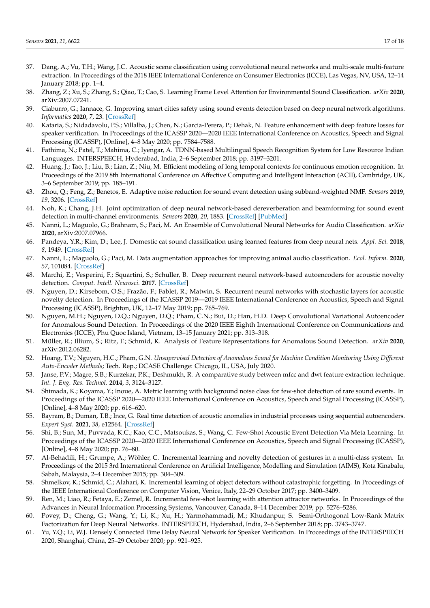- <span id="page-16-0"></span>37. Dang, A.; Vu, T.H.; Wang, J.C. Acoustic scene classification using convolutional neural networks and multi-scale multi-feature extraction. In Proceedings of the 2018 IEEE International Conference on Consumer Electronics (ICCE), Las Vegas, NV, USA, 12–14 January 2018; pp. 1–4.
- <span id="page-16-1"></span>38. Zhang, Z.; Xu, S.; Zhang, S.; Qiao, T.; Cao, S. Learning Frame Level Attention for Environmental Sound Classification. *arXiv* **2020**, arXiv:2007.07241.
- <span id="page-16-2"></span>39. Ciaburro, G.; Iannace, G. Improving smart cities safety using sound events detection based on deep neural network algorithms. *Informatics* **2020**, *7*, 23. [\[CrossRef\]](http://dx.doi.org/10.3390/informatics7030023)
- <span id="page-16-3"></span>40. Kataria, S.; Nidadavolu, P.S.; Villalba, J.; Chen, N.; Garcia-Perera, P.; Dehak, N. Feature enhancement with deep feature losses for speaker verification. In Proceedings of the ICASSP 2020—2020 IEEE International Conference on Acoustics, Speech and Signal Processing (ICASSP), [Online], 4–8 May 2020; pp. 7584–7588.
- <span id="page-16-4"></span>41. Fathima, N.; Patel, T.; Mahima, C.; Iyengar, A. TDNN-based Multilingual Speech Recognition System for Low Resource Indian Languages. INTERSPEECH, Hyderabad, India, 2–6 September 2018; pp. 3197–3201.
- <span id="page-16-5"></span>42. Huang, J.; Tao, J.; Liu, B.; Lian, Z.; Niu, M. Efficient modeling of long temporal contexts for continuous emotion recognition. In Proceedings of the 2019 8th International Conference on Affective Computing and Intelligent Interaction (ACII), Cambridge, UK, 3–6 September 2019; pp. 185–191.
- <span id="page-16-6"></span>43. Zhou, Q.; Feng, Z.; Benetos, E. Adaptive noise reduction for sound event detection using subband-weighted NMF. *Sensors* **2019**, *19*, 3206. [\[CrossRef\]](http://dx.doi.org/10.3390/s19143206)
- <span id="page-16-7"></span>44. Noh, K.; Chang, J.H. Joint optimization of deep neural network-based dereverberation and beamforming for sound event detection in multi-channel environments. *Sensors* **2020**, *20*, 1883. [\[CrossRef\]](http://dx.doi.org/10.3390/s20071883) [\[PubMed\]](http://www.ncbi.nlm.nih.gov/pubmed/32231161)
- <span id="page-16-8"></span>45. Nanni, L.; Maguolo, G.; Brahnam, S.; Paci, M. An Ensemble of Convolutional Neural Networks for Audio Classification. *arXiv* **2020**, arXiv:2007.07966.
- <span id="page-16-9"></span>46. Pandeya, Y.R.; Kim, D.; Lee, J. Domestic cat sound classification using learned features from deep neural nets. *Appl. Sci.* **2018**, *8*, 1949. [\[CrossRef\]](http://dx.doi.org/10.3390/app8101949)
- <span id="page-16-10"></span>47. Nanni, L.; Maguolo, G.; Paci, M. Data augmentation approaches for improving animal audio classification. *Ecol. Inform.* **2020**, *57*, 101084. [\[CrossRef\]](http://dx.doi.org/10.1016/j.ecoinf.2020.101084)
- <span id="page-16-11"></span>48. Marchi, E.; Vesperini, F.; Squartini, S.; Schuller, B. Deep recurrent neural network-based autoencoders for acoustic novelty detection. *Comput. Intell. Neurosci.* **2017**. [\[CrossRef\]](http://dx.doi.org/10.1155/2017/4694860)
- <span id="page-16-12"></span>49. Nguyen, D.; Kirsebom, O.S.; Frazão, F.; Fablet, R.; Matwin, S. Recurrent neural networks with stochastic layers for acoustic novelty detection. In Proceedings of the ICASSP 2019—2019 IEEE International Conference on Acoustics, Speech and Signal Processing (ICASSP), Brighton, UK, 12–17 May 2019; pp. 765–769.
- <span id="page-16-13"></span>50. Nguyen, M.H.; Nguyen, D.Q.; Nguyen, D.Q.; Pham, C.N.; Bui, D.; Han, H.D. Deep Convolutional Variational Autoencoder for Anomalous Sound Detection. In Proceedings of the 2020 IEEE Eighth International Conference on Communications and Electronics (ICCE), Phu Quoc Island, Vietnam, 13–15 January 2021; pp. 313–318.
- <span id="page-16-14"></span>51. Müller, R.; Illium, S.; Ritz, F.; Schmid, K. Analysis of Feature Representations for Anomalous Sound Detection. *arXiv* **2020**, arXiv:2012.06282.
- <span id="page-16-15"></span>52. Hoang, T.V.; Nguyen, H.C.; Pham, G.N. *Unsupervised Detection of Anomalous Sound for Machine Condition Monitoring Using Different Auto-Encoder Methods*; Tech. Rep.; DCASE Challenge: Chicago, IL, USA, July 2020.
- <span id="page-16-16"></span>53. Janse, P.V.; Magre, S.B.; Kurzekar, P.K.; Deshmukh, R. A comparative study between mfcc and dwt feature extraction technique. *Int. J. Eng. Res. Technol.* **2014**, *3*, 3124–3127.
- <span id="page-16-17"></span>54. Shimada, K.; Koyama, Y.; Inoue, A. Metric learning with background noise class for few-shot detection of rare sound events. In Proceedings of the ICASSP 2020—2020 IEEE International Conference on Acoustics, Speech and Signal Processing (ICASSP), [Online], 4–8 May 2020; pp. 616–620.
- <span id="page-16-18"></span>55. Bayram, B.; Duman, T.B.; Ince, G. Real time detection of acoustic anomalies in industrial processes using sequential autoencoders. *Expert Syst.* **2021**, *38*, e12564. [\[CrossRef\]](http://dx.doi.org/10.1111/exsy.12564)
- <span id="page-16-19"></span>56. Shi, B.; Sun, M.; Puvvada, K.C.; Kao, C.C.; Matsoukas, S.; Wang, C. Few-Shot Acoustic Event Detection Via Meta Learning. In Proceedings of the ICASSP 2020—2020 IEEE International Conference on Acoustics, Speech and Signal Processing (ICASSP), [Online], 4–8 May 2020; pp. 76–80.
- <span id="page-16-20"></span>57. Al-Behadili, H.; Grumpe, A.; Wöhler, C. Incremental learning and novelty detection of gestures in a multi-class system. In Proceedings of the 2015 3rd International Conference on Artificial Intelligence, Modelling and Simulation (AIMS), Kota Kinabalu, Sabah, Malaysia, 2–4 December 2015; pp. 304–309.
- <span id="page-16-21"></span>58. Shmelkov, K.; Schmid, C.; Alahari, K. Incremental learning of object detectors without catastrophic forgetting. In Proceedings of the IEEE International Conference on Computer Vision, Venice, Italy, 22–29 October 2017; pp. 3400–3409.
- <span id="page-16-22"></span>59. Ren, M.; Liao, R.; Fetaya, E.; Zemel, R. Incremental few-shot learning with attention attractor networks. In Proceedings of the Advances in Neural Information Processing Systems, Vancouver, Canada, 8–14 December 2019; pp. 5276–5286.
- <span id="page-16-23"></span>60. Povey, D.; Cheng, G.; Wang, Y.; Li, K.; Xu, H.; Yarmohammadi, M.; Khudanpur, S. Semi-Orthogonal Low-Rank Matrix Factorization for Deep Neural Networks. INTERSPEECH, Hyderabad, India, 2–6 September 2018; pp. 3743–3747.
- <span id="page-16-24"></span>61. Yu, Y.Q.; Li, W.J. Densely Connected Time Delay Neural Network for Speaker Verification. In Proceedings of the INTERSPEECH 2020, Shanghai, China, 25–29 October 2020; pp. 921–925.